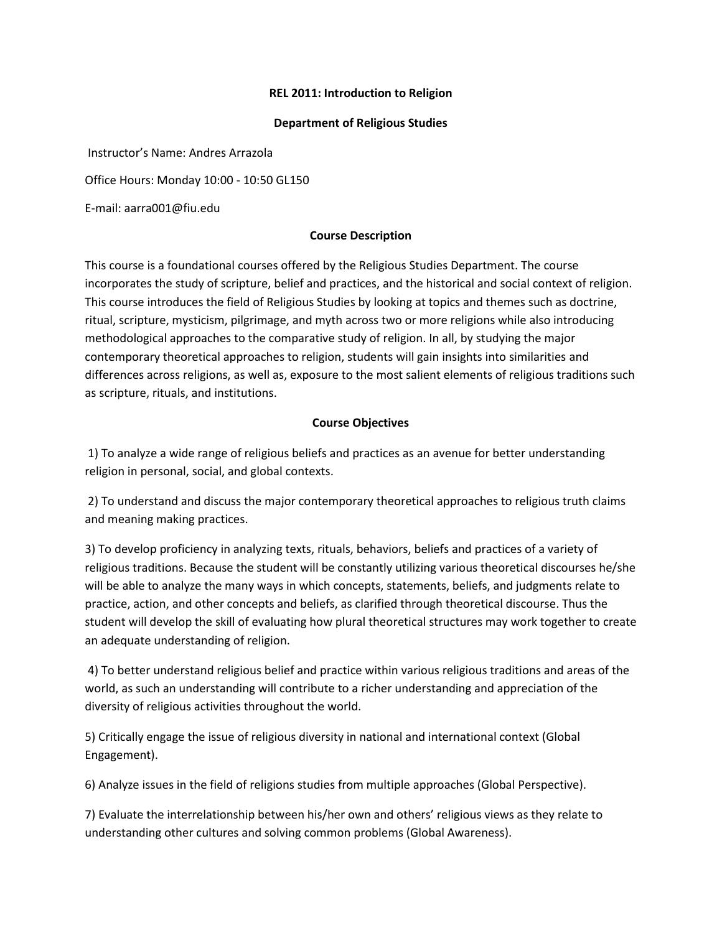# **REL 2011: Introduction to Religion**

## **Department of Religious Studies**

Instructor's Name: Andres Arrazola

Office Hours: Monday 10:00 - 10:50 GL150

E-mail: aarra001@fiu.edu

## **Course Description**

This course is a foundational courses offered by the Religious Studies Department. The course incorporates the study of scripture, belief and practices, and the historical and social context of religion. This course introduces the field of Religious Studies by looking at topics and themes such as doctrine, ritual, scripture, mysticism, pilgrimage, and myth across two or more religions while also introducing methodological approaches to the comparative study of religion. In all, by studying the major contemporary theoretical approaches to religion, students will gain insights into similarities and differences across religions, as well as, exposure to the most salient elements of religious traditions such as scripture, rituals, and institutions.

# **Course Objectives**

1) To analyze a wide range of religious beliefs and practices as an avenue for better understanding religion in personal, social, and global contexts.

2) To understand and discuss the major contemporary theoretical approaches to religious truth claims and meaning making practices.

3) To develop proficiency in analyzing texts, rituals, behaviors, beliefs and practices of a variety of religious traditions. Because the student will be constantly utilizing various theoretical discourses he/she will be able to analyze the many ways in which concepts, statements, beliefs, and judgments relate to practice, action, and other concepts and beliefs, as clarified through theoretical discourse. Thus the student will develop the skill of evaluating how plural theoretical structures may work together to create an adequate understanding of religion.

4) To better understand religious belief and practice within various religious traditions and areas of the world, as such an understanding will contribute to a richer understanding and appreciation of the diversity of religious activities throughout the world.

5) Critically engage the issue of religious diversity in national and international context (Global Engagement).

6) Analyze issues in the field of religions studies from multiple approaches (Global Perspective).

7) Evaluate the interrelationship between his/her own and others' religious views as they relate to understanding other cultures and solving common problems (Global Awareness).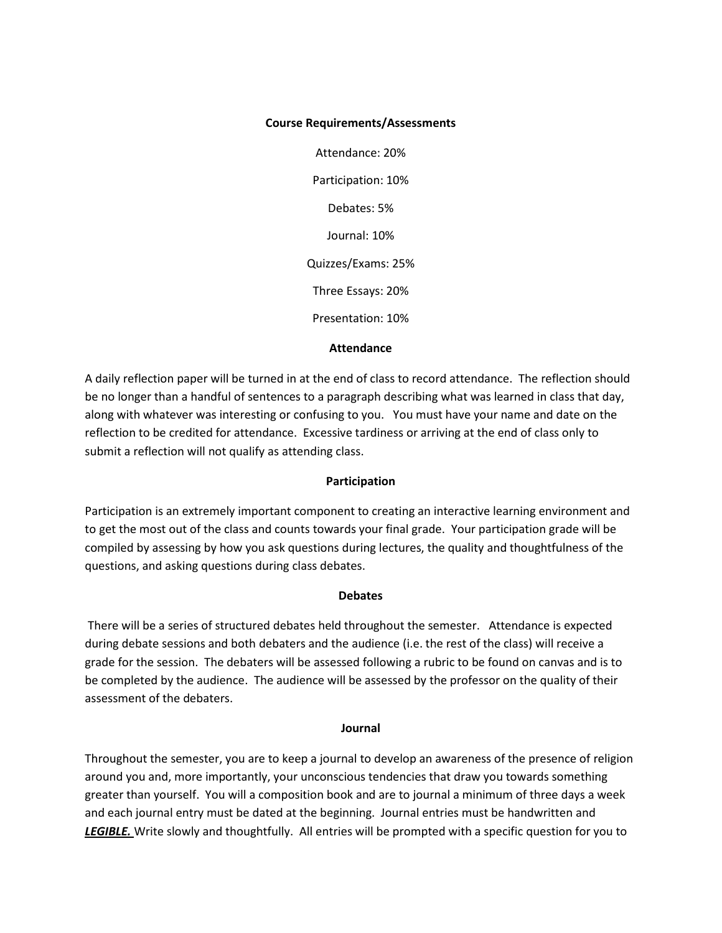## **Course Requirements/Assessments**

Attendance: 20% Participation: 10% Debates: 5% Journal: 10% Quizzes/Exams: 25% Three Essays: 20% Presentation: 10%

## **Attendance**

A daily reflection paper will be turned in at the end of class to record attendance. The reflection should be no longer than a handful of sentences to a paragraph describing what was learned in class that day, along with whatever was interesting or confusing to you. You must have your name and date on the reflection to be credited for attendance. Excessive tardiness or arriving at the end of class only to submit a reflection will not qualify as attending class.

# **Participation**

Participation is an extremely important component to creating an interactive learning environment and to get the most out of the class and counts towards your final grade. Your participation grade will be compiled by assessing by how you ask questions during lectures, the quality and thoughtfulness of the questions, and asking questions during class debates.

## **Debates**

There will be a series of structured debates held throughout the semester. Attendance is expected during debate sessions and both debaters and the audience (i.e. the rest of the class) will receive a grade for the session. The debaters will be assessed following a rubric to be found on canvas and is to be completed by the audience. The audience will be assessed by the professor on the quality of their assessment of the debaters.

#### **Journal**

Throughout the semester, you are to keep a journal to develop an awareness of the presence of religion around you and, more importantly, your unconscious tendencies that draw you towards something greater than yourself. You will a composition book and are to journal a minimum of three days a week and each journal entry must be dated at the beginning. Journal entries must be handwritten and *LEGIBLE.* Write slowly and thoughtfully. All entries will be prompted with a specific question for you to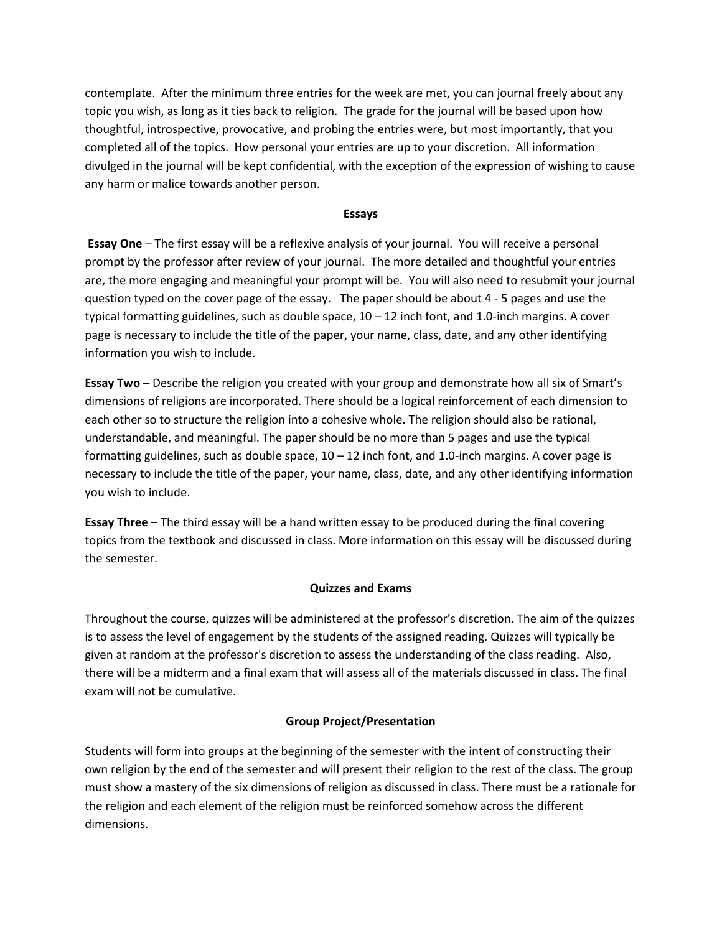contemplate. After the minimum three entries for the week are met, you can journal freely about any topic you wish, as long as it ties back to religion. The grade for the journal will be based upon how thoughtful, introspective, provocative, and probing the entries were, but most importantly, that you completed all of the topics. How personal your entries are up to your discretion. All information divulged in the journal will be kept confidential, with the exception of the expression of wishing to cause any harm or malice towards another person.

## **Essays**

**Essay One** – The first essay will be a reflexive analysis of your journal. You will receive a personal prompt by the professor after review of your journal. The more detailed and thoughtful your entries are, the more engaging and meaningful your prompt will be. You will also need to resubmit your journal question typed on the cover page of the essay. The paper should be about 4 - 5 pages and use the typical formatting guidelines, such as double space, 10 – 12 inch font, and 1.0-inch margins. A cover page is necessary to include the title of the paper, your name, class, date, and any other identifying information you wish to include.

**Essay Two** – Describe the religion you created with your group and demonstrate how all six of Smart's dimensions of religions are incorporated. There should be a logical reinforcement of each dimension to each other so to structure the religion into a cohesive whole. The religion should also be rational, understandable, and meaningful. The paper should be no more than 5 pages and use the typical formatting guidelines, such as double space,  $10 - 12$  inch font, and 1.0-inch margins. A cover page is necessary to include the title of the paper, your name, class, date, and any other identifying information you wish to include.

**Essay Three** – The third essay will be a hand written essay to be produced during the final covering topics from the textbook and discussed in class. More information on this essay will be discussed during the semester.

#### **Quizzes and Exams**

Throughout the course, quizzes will be administered at the professor's discretion. The aim of the quizzes is to assess the level of engagement by the students of the assigned reading. Quizzes will typically be given at random at the professor's discretion to assess the understanding of the class reading. Also, there will be a midterm and a final exam that will assess all of the materials discussed in class. The final exam will not be cumulative.

# **Group Project/Presentation**

Students will form into groups at the beginning of the semester with the intent of constructing their own religion by the end of the semester and will present their religion to the rest of the class. The group must show a mastery of the six dimensions of religion as discussed in class. There must be a rationale for the religion and each element of the religion must be reinforced somehow across the different dimensions.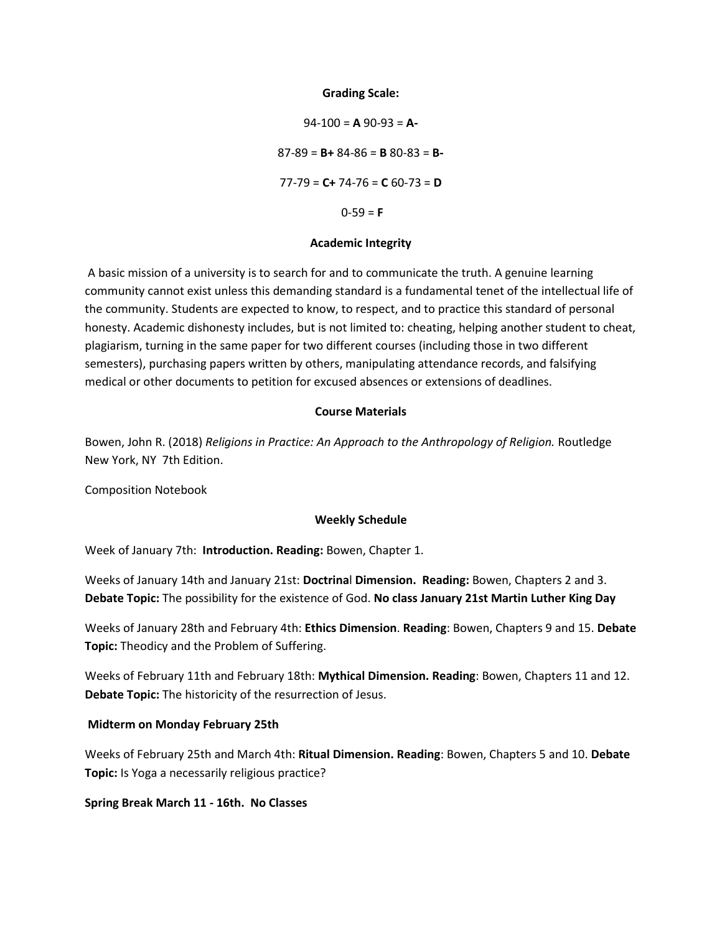#### **Grading Scale:**

94-100 = **A** 90-93 = **A-**87-89 = **B+** 84-86 = **B** 80-83 = **B-**77-79 = **C+** 74-76 = **C** 60-73 = **D**  $0-59 = F$ 

#### **Academic Integrity**

A basic mission of a university is to search for and to communicate the truth. A genuine learning community cannot exist unless this demanding standard is a fundamental tenet of the intellectual life of the community. Students are expected to know, to respect, and to practice this standard of personal honesty. Academic dishonesty includes, but is not limited to: cheating, helping another student to cheat, plagiarism, turning in the same paper for two different courses (including those in two different semesters), purchasing papers written by others, manipulating attendance records, and falsifying medical or other documents to petition for excused absences or extensions of deadlines.

## **Course Materials**

Bowen, John R. (2018) *Religions in Practice: An Approach to the Anthropology of Religion.* Routledge New York, NY 7th Edition.

Composition Notebook

#### **Weekly Schedule**

Week of January 7th: **Introduction. Reading:** Bowen, Chapter 1.

Weeks of January 14th and January 21st: **Doctrina**l **Dimension. Reading:** Bowen, Chapters 2 and 3. **Debate Topic:** The possibility for the existence of God. **No class January 21st Martin Luther King Day**

Weeks of January 28th and February 4th: **Ethics Dimension**. **Reading**: Bowen, Chapters 9 and 15. **Debate Topic:** Theodicy and the Problem of Suffering.

Weeks of February 11th and February 18th: **Mythical Dimension. Reading**: Bowen, Chapters 11 and 12. **Debate Topic:** The historicity of the resurrection of Jesus.

#### **Midterm on Monday February 25th**

Weeks of February 25th and March 4th: **Ritual Dimension. Reading**: Bowen, Chapters 5 and 10. **Debate Topic:** Is Yoga a necessarily religious practice?

## **Spring Break March 11 - 16th. No Classes**